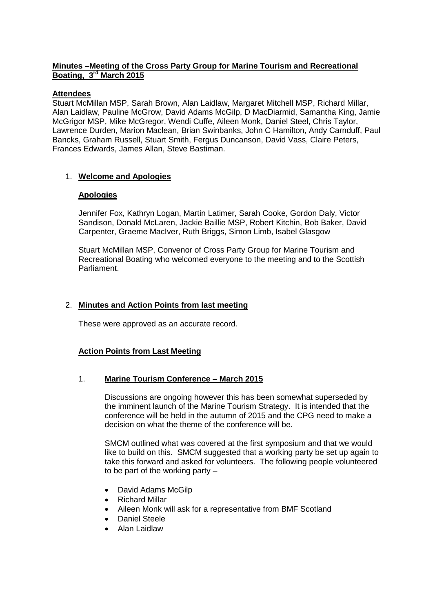## **Minutes –Meeting of the Cross Party Group for Marine Tourism and Recreational Boating, 3 rd March 2015**

### **Attendees**

Stuart McMillan MSP, Sarah Brown, Alan Laidlaw, Margaret Mitchell MSP, Richard Millar, Alan Laidlaw, Pauline McGrow, David Adams McGilp, D MacDiarmid, Samantha King, Jamie McGrigor MSP, Mike McGregor, Wendi Cuffe, Aileen Monk, Daniel Steel, Chris Taylor, Lawrence Durden, Marion Maclean, Brian Swinbanks, John C Hamilton, Andy Carnduff, Paul Bancks, Graham Russell, Stuart Smith, Fergus Duncanson, David Vass, Claire Peters, Frances Edwards, James Allan, Steve Bastiman.

# 1. **Welcome and Apologies**

### **Apologies**

Jennifer Fox, Kathryn Logan, Martin Latimer, Sarah Cooke, Gordon Daly, Victor Sandison, Donald McLaren, Jackie Baillie MSP, Robert Kitchin, Bob Baker, David Carpenter, Graeme MacIver, Ruth Briggs, Simon Limb, Isabel Glasgow

Stuart McMillan MSP, Convenor of Cross Party Group for Marine Tourism and Recreational Boating who welcomed everyone to the meeting and to the Scottish Parliament.

## 2. **Minutes and Action Points from last meeting**

These were approved as an accurate record.

# **Action Points from Last Meeting**

### 1. **Marine Tourism Conference – March 2015**

Discussions are ongoing however this has been somewhat superseded by the imminent launch of the Marine Tourism Strategy. It is intended that the conference will be held in the autumn of 2015 and the CPG need to make a decision on what the theme of the conference will be.

SMCM outlined what was covered at the first symposium and that we would like to build on this. SMCM suggested that a working party be set up again to take this forward and asked for volunteers. The following people volunteered to be part of the working party –

- David Adams McGilp
- Richard Millar
- Aileen Monk will ask for a representative from BMF Scotland
- Daniel Steele
- Alan Laidlaw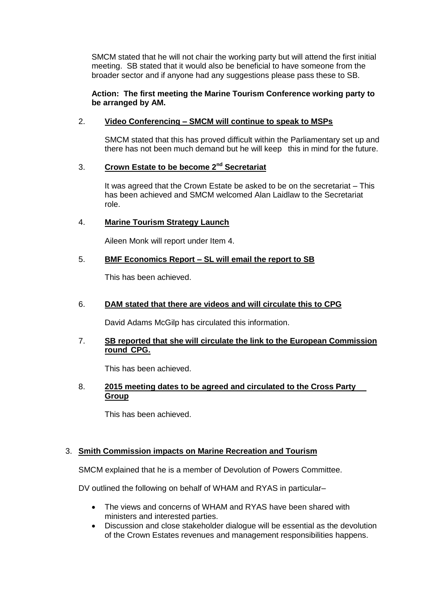SMCM stated that he will not chair the working party but will attend the first initial meeting. SB stated that it would also be beneficial to have someone from the broader sector and if anyone had any suggestions please pass these to SB.

### **Action: The first meeting the Marine Tourism Conference working party to be arranged by AM.**

## 2. **Video Conferencing – SMCM will continue to speak to MSPs**

SMCM stated that this has proved difficult within the Parliamentary set up and there has not been much demand but he will keep this in mind for the future.

## 3. **Crown Estate to be become 2nd Secretariat**

It was agreed that the Crown Estate be asked to be on the secretariat – This has been achieved and SMCM welcomed Alan Laidlaw to the Secretariat role.

## 4. **Marine Tourism Strategy Launch**

Aileen Monk will report under Item 4.

## 5. **BMF Economics Report – SL will email the report to SB**

This has been achieved.

### 6. **DAM stated that there are videos and will circulate this to CPG**

David Adams McGilp has circulated this information.

### 7. **SB reported that she will circulate the link to the European Commission round CPG.**

This has been achieved.

### 8. **2015 meeting dates to be agreed and circulated to the Cross Party Group**

This has been achieved.

# 3. **Smith Commission impacts on Marine Recreation and Tourism**

SMCM explained that he is a member of Devolution of Powers Committee.

DV outlined the following on behalf of WHAM and RYAS in particular–

- The views and concerns of WHAM and RYAS have been shared with ministers and interested parties.
- Discussion and close stakeholder dialogue will be essential as the devolution of the Crown Estates revenues and management responsibilities happens.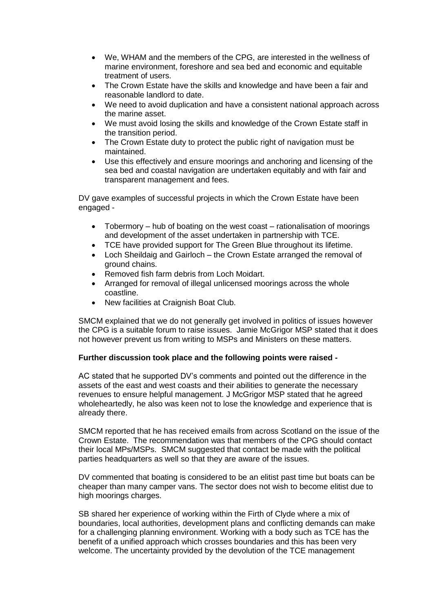- We, WHAM and the members of the CPG, are interested in the wellness of marine environment, foreshore and sea bed and economic and equitable treatment of users.
- The Crown Estate have the skills and knowledge and have been a fair and reasonable landlord to date.
- We need to avoid duplication and have a consistent national approach across the marine asset.
- We must avoid losing the skills and knowledge of the Crown Estate staff in the transition period.
- The Crown Estate duty to protect the public right of navigation must be maintained.
- Use this effectively and ensure moorings and anchoring and licensing of the sea bed and coastal navigation are undertaken equitably and with fair and transparent management and fees.

DV gave examples of successful projects in which the Crown Estate have been engaged -

- Tobermory hub of boating on the west coast rationalisation of moorings and development of the asset undertaken in partnership with TCE.
- TCE have provided support for The Green Blue throughout its lifetime.
- Loch Sheildaig and Gairloch the Crown Estate arranged the removal of ground chains.
- Removed fish farm debris from Loch Moidart.
- Arranged for removal of illegal unlicensed moorings across the whole coastline.
- New facilities at Craignish Boat Club.

SMCM explained that we do not generally get involved in politics of issues however the CPG is a suitable forum to raise issues. Jamie McGrigor MSP stated that it does not however prevent us from writing to MSPs and Ministers on these matters.

### **Further discussion took place and the following points were raised -**

AC stated that he supported DV's comments and pointed out the difference in the assets of the east and west coasts and their abilities to generate the necessary revenues to ensure helpful management. J McGrigor MSP stated that he agreed wholeheartedly, he also was keen not to lose the knowledge and experience that is already there.

SMCM reported that he has received emails from across Scotland on the issue of the Crown Estate. The recommendation was that members of the CPG should contact their local MPs/MSPs. SMCM suggested that contact be made with the political parties headquarters as well so that they are aware of the issues.

DV commented that boating is considered to be an elitist past time but boats can be cheaper than many camper vans. The sector does not wish to become elitist due to high moorings charges.

SB shared her experience of working within the Firth of Clyde where a mix of boundaries, local authorities, development plans and conflicting demands can make for a challenging planning environment. Working with a body such as TCE has the benefit of a unified approach which crosses boundaries and this has been very welcome. The uncertainty provided by the devolution of the TCE management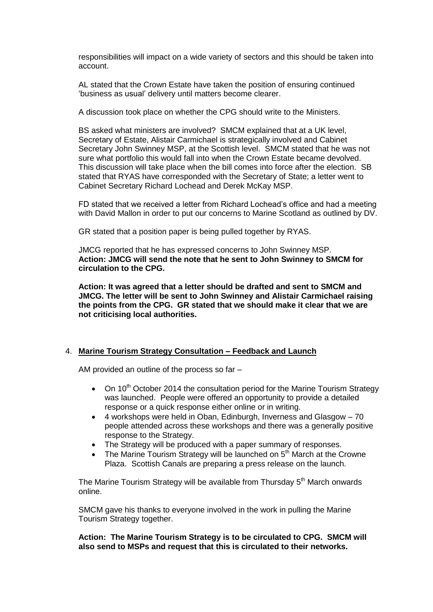responsibilities will impact on a wide variety of sectors and this should be taken into account.

AL stated that the Crown Estate have taken the position of ensuring continued 'business as usual' delivery until matters become clearer.

A discussion took place on whether the CPG should write to the Ministers.

BS asked what ministers are involved? SMCM explained that at a UK level, Secretary of Estate, Alistair Carmichael is strategically involved and Cabinet Secretary John Swinney MSP, at the Scottish level. SMCM stated that he was not sure what portfolio this would fall into when the Crown Estate became devolved. This discussion will take place when the bill comes into force after the election. SB stated that RYAS have corresponded with the Secretary of State; a letter went to Cabinet Secretary Richard Lochead and Derek McKay MSP.

FD stated that we received a letter from Richard Lochead's office and had a meeting with David Mallon in order to put our concerns to Marine Scotland as outlined by DV.

GR stated that a position paper is being pulled together by RYAS.

JMCG reported that he has expressed concerns to John Swinney MSP. **Action: JMCG will send the note that he sent to John Swinney to SMCM for circulation to the CPG.**

**Action: It was agreed that a letter should be drafted and sent to SMCM and JMCG. The letter will be sent to John Swinney and Alistair Carmichael raising the points from the CPG. GR stated that we should make it clear that we are not criticising local authorities.**

### 4. **Marine Tourism Strategy Consultation – Feedback and Launch**

AM provided an outline of the process so far –

- On 10<sup>th</sup> October 2014 the consultation period for the Marine Tourism Strategy was launched. People were offered an opportunity to provide a detailed response or a quick response either online or in writing.
- 4 workshops were held in Oban, Edinburgh, Inverness and Glasgow 70 people attended across these workshops and there was a generally positive response to the Strategy.
- The Strategy will be produced with a paper summary of responses.
- The Marine Tourism Strategy will be launched on 5<sup>th</sup> March at the Crowne Plaza. Scottish Canals are preparing a press release on the launch.

The Marine Tourism Strategy will be available from Thursday 5<sup>th</sup> March onwards online.

SMCM gave his thanks to everyone involved in the work in pulling the Marine Tourism Strategy together.

**Action: The Marine Tourism Strategy is to be circulated to CPG. SMCM will also send to MSPs and request that this is circulated to their networks.**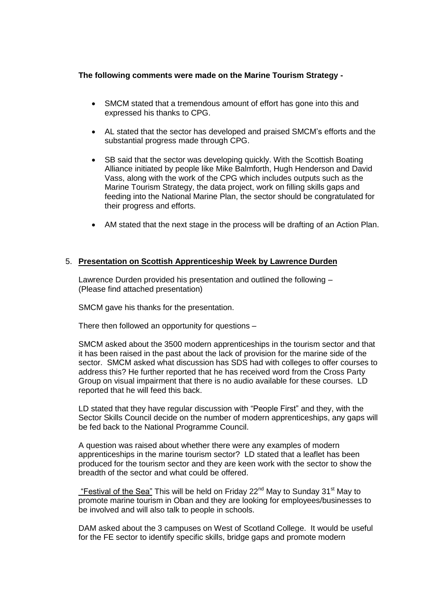### **The following comments were made on the Marine Tourism Strategy -**

- SMCM stated that a tremendous amount of effort has gone into this and expressed his thanks to CPG.
- AL stated that the sector has developed and praised SMCM's efforts and the substantial progress made through CPG.
- SB said that the sector was developing quickly. With the Scottish Boating Alliance initiated by people like Mike Balmforth, Hugh Henderson and David Vass, along with the work of the CPG which includes outputs such as the Marine Tourism Strategy, the data project, work on filling skills gaps and feeding into the National Marine Plan, the sector should be congratulated for their progress and efforts.
- AM stated that the next stage in the process will be drafting of an Action Plan.

### 5. **Presentation on Scottish Apprenticeship Week by Lawrence Durden**

Lawrence Durden provided his presentation and outlined the following – (Please find attached presentation)

SMCM gave his thanks for the presentation.

There then followed an opportunity for questions –

SMCM asked about the 3500 modern apprenticeships in the tourism sector and that it has been raised in the past about the lack of provision for the marine side of the sector. SMCM asked what discussion has SDS had with colleges to offer courses to address this? He further reported that he has received word from the Cross Party Group on visual impairment that there is no audio available for these courses. LD reported that he will feed this back.

LD stated that they have regular discussion with "People First" and they, with the Sector Skills Council decide on the number of modern apprenticeships, any gaps will be fed back to the National Programme Council.

A question was raised about whether there were any examples of modern apprenticeships in the marine tourism sector? LD stated that a leaflet has been produced for the tourism sector and they are keen work with the sector to show the breadth of the sector and what could be offered.

"Festival of the Sea" This will be held on Friday 22 $<sup>nd</sup>$  May to Sunday 31 $<sup>st</sup>$  May to</sup></sup> promote marine tourism in Oban and they are looking for employees/businesses to be involved and will also talk to people in schools.

DAM asked about the 3 campuses on West of Scotland College. It would be useful for the FE sector to identify specific skills, bridge gaps and promote modern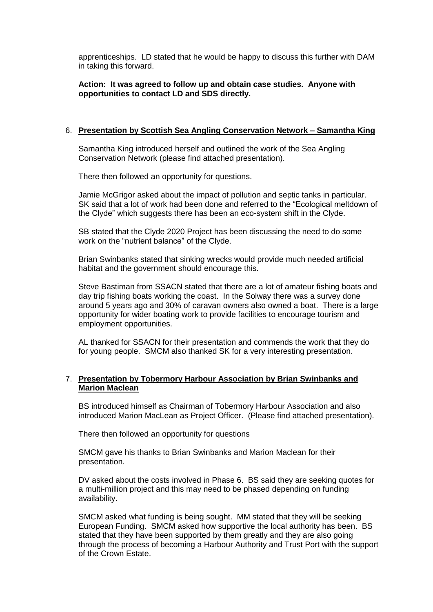apprenticeships. LD stated that he would be happy to discuss this further with DAM in taking this forward.

**Action: It was agreed to follow up and obtain case studies. Anyone with opportunities to contact LD and SDS directly.**

#### 6. **Presentation by Scottish Sea Angling Conservation Network – Samantha King**

Samantha King introduced herself and outlined the work of the Sea Angling Conservation Network (please find attached presentation).

There then followed an opportunity for questions.

Jamie McGrigor asked about the impact of pollution and septic tanks in particular. SK said that a lot of work had been done and referred to the "Ecological meltdown of the Clyde" which suggests there has been an eco-system shift in the Clyde.

SB stated that the Clyde 2020 Project has been discussing the need to do some work on the "nutrient balance" of the Clyde.

Brian Swinbanks stated that sinking wrecks would provide much needed artificial habitat and the government should encourage this.

Steve Bastiman from SSACN stated that there are a lot of amateur fishing boats and day trip fishing boats working the coast. In the Solway there was a survey done around 5 years ago and 30% of caravan owners also owned a boat. There is a large opportunity for wider boating work to provide facilities to encourage tourism and employment opportunities.

AL thanked for SSACN for their presentation and commends the work that they do for young people. SMCM also thanked SK for a very interesting presentation.

### 7. **Presentation by Tobermory Harbour Association by Brian Swinbanks and Marion Maclean**

BS introduced himself as Chairman of Tobermory Harbour Association and also introduced Marion MacLean as Project Officer. (Please find attached presentation).

There then followed an opportunity for questions

SMCM gave his thanks to Brian Swinbanks and Marion Maclean for their presentation.

DV asked about the costs involved in Phase 6. BS said they are seeking quotes for a multi-million project and this may need to be phased depending on funding availability.

SMCM asked what funding is being sought. MM stated that they will be seeking European Funding. SMCM asked how supportive the local authority has been. BS stated that they have been supported by them greatly and they are also going through the process of becoming a Harbour Authority and Trust Port with the support of the Crown Estate.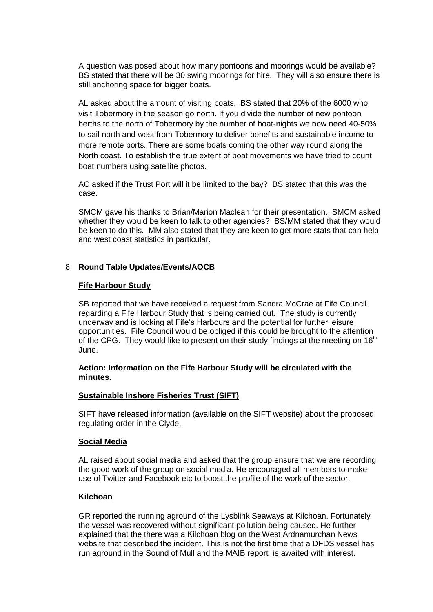A question was posed about how many pontoons and moorings would be available? BS stated that there will be 30 swing moorings for hire. They will also ensure there is still anchoring space for bigger boats.

AL asked about the amount of visiting boats. BS stated that 20% of the 6000 who visit Tobermory in the season go north. If you divide the number of new pontoon berths to the north of Tobermory by the number of boat-nights we now need 40-50% to sail north and west from Tobermory to deliver benefits and sustainable income to more remote ports. There are some boats coming the other way round along the North coast. To establish the true extent of boat movements we have tried to count boat numbers using satellite photos.

AC asked if the Trust Port will it be limited to the bay? BS stated that this was the case.

SMCM gave his thanks to Brian/Marion Maclean for their presentation. SMCM asked whether they would be keen to talk to other agencies? BS/MM stated that they would be keen to do this. MM also stated that they are keen to get more stats that can help and west coast statistics in particular.

### 8. **Round Table Updates/Events/AOCB**

### **Fife Harbour Study**

SB reported that we have received a request from Sandra McCrae at Fife Council regarding a Fife Harbour Study that is being carried out. The study is currently underway and is looking at Fife's Harbours and the potential for further leisure opportunities. Fife Council would be obliged if this could be brought to the attention of the CPG. They would like to present on their study findings at the meeting on  $16<sup>th</sup>$ June.

#### **Action: Information on the Fife Harbour Study will be circulated with the minutes.**

### **Sustainable Inshore Fisheries Trust (SIFT)**

SIFT have released information (available on the SIFT website) about the proposed regulating order in the Clyde.

#### **Social Media**

AL raised about social media and asked that the group ensure that we are recording the good work of the group on social media. He encouraged all members to make use of Twitter and Facebook etc to boost the profile of the work of the sector.

### **Kilchoan**

GR reported the running aground of the Lysblink Seaways at Kilchoan. Fortunately the vessel was recovered without significant pollution being caused. He further explained that the there was a Kilchoan blog on the West Ardnamurchan News website that described the incident. This is not the first time that a DFDS vessel has run aground in the Sound of Mull and the MAIB report is awaited with interest.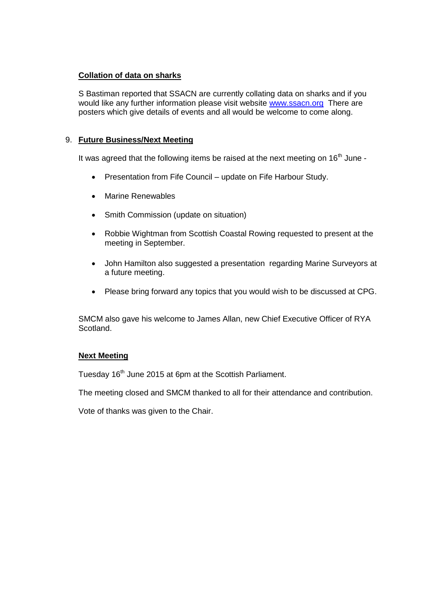## **Collation of data on sharks**

S Bastiman reported that SSACN are currently collating data on sharks and if you would like any further information please visit website [www.ssacn.org](http://www.ssacn.org/) There are posters which give details of events and all would be welcome to come along.

## 9. **Future Business/Next Meeting**

It was agreed that the following items be raised at the next meeting on 16<sup>th</sup> June -

- Presentation from Fife Council update on Fife Harbour Study.
- Marine Renewables
- Smith Commission (update on situation)
- Robbie Wightman from Scottish Coastal Rowing requested to present at the meeting in September.
- John Hamilton also suggested a presentation regarding Marine Surveyors at a future meeting.
- Please bring forward any topics that you would wish to be discussed at CPG.

SMCM also gave his welcome to James Allan, new Chief Executive Officer of RYA Scotland.

### **Next Meeting**

Tuesday 16<sup>th</sup> June 2015 at 6pm at the Scottish Parliament.

The meeting closed and SMCM thanked to all for their attendance and contribution.

Vote of thanks was given to the Chair.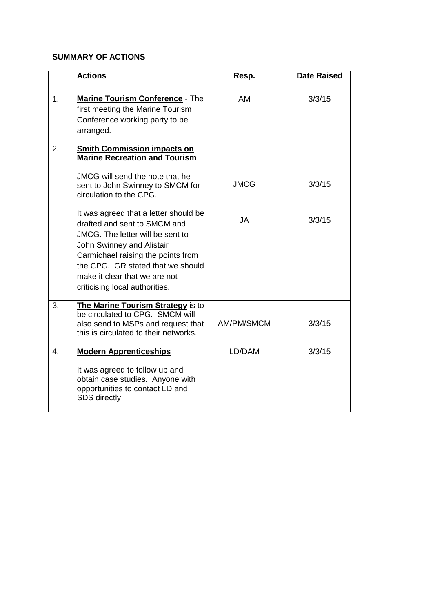## **SUMMARY OF ACTIONS**

|                  | <b>Actions</b>                                                                                                                                                                                                                                                                       | Resp.       | <b>Date Raised</b> |
|------------------|--------------------------------------------------------------------------------------------------------------------------------------------------------------------------------------------------------------------------------------------------------------------------------------|-------------|--------------------|
| 1.               | <b>Marine Tourism Conference - The</b><br>first meeting the Marine Tourism<br>Conference working party to be<br>arranged.                                                                                                                                                            | AM          | 3/3/15             |
| 2.               | <b>Smith Commission impacts on</b><br><b>Marine Recreation and Tourism</b>                                                                                                                                                                                                           |             |                    |
|                  | JMCG will send the note that he<br>sent to John Swinney to SMCM for<br>circulation to the CPG.                                                                                                                                                                                       | <b>JMCG</b> | 3/3/15             |
|                  | It was agreed that a letter should be<br>drafted and sent to SMCM and<br>JMCG. The letter will be sent to<br>John Swinney and Alistair<br>Carmichael raising the points from<br>the CPG. GR stated that we should<br>make it clear that we are not<br>criticising local authorities. | <b>JA</b>   | 3/3/15             |
| 3.               | The Marine Tourism Strategy is to<br>be circulated to CPG. SMCM will<br>also send to MSPs and request that<br>this is circulated to their networks.                                                                                                                                  | AM/PM/SMCM  | 3/3/15             |
| $\overline{4}$ . | <b>Modern Apprenticeships</b><br>It was agreed to follow up and<br>obtain case studies. Anyone with<br>opportunities to contact LD and<br>SDS directly.                                                                                                                              | LD/DAM      | 3/3/15             |